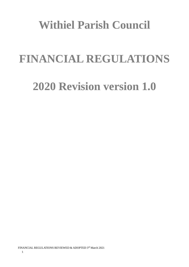# **Withiel Parish Council**

# **FINANCIAL REGULATIONS**

# **2020 Revision version 1.0**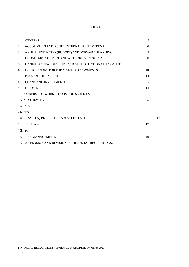#### **INDEX**

| $\mathbf{1}$ . | <b>GENERAL.</b>                                       | 3  |    |
|----------------|-------------------------------------------------------|----|----|
| 2.             | ACCOUNTING AND AUDIT (INTERNAL AND EXTERNAL)          | 6  |    |
| 3.             | ANNUAL ESTIMATES (BUDGET) AND FORWARD PLANNING        | 7  |    |
| 4.             | BUDGETARY CONTROL AND AUTHORITY TO SPEND.             | 8  |    |
| 5.             | BANKING ARRANGEMENTS AND AUTHORISATION OF PAYMENTS.   | 9  |    |
| 6.             | <b>INSTRUCTIONS FOR THE MAKING OF PAYMENTS.</b>       | 10 |    |
| 7 <sub>1</sub> | PAYMENT OF SALARIES.                                  | 13 |    |
| 8.             | <b>LOANS AND INVESTMENTS.</b>                         | 13 |    |
| 9.             | INCOME.                                               | 14 |    |
|                | 10. ORDERS FOR WORK, GOODS AND SERVICES.              | 15 |    |
|                | 11. CONTRACTS.                                        | 16 |    |
|                | 12. N/A                                               |    |    |
|                | 13. N/A                                               |    |    |
|                | 14. ASSETS, PROPERTIES AND ESTATES.                   |    | 17 |
|                | 15. INSURANCE.                                        | 17 |    |
|                | 16. $N/A$                                             |    |    |
|                | 17. RISK MANAGEMENT.                                  | 18 |    |
|                | 18. SUSPENSION AND REVISION OF FINANCIAL REGULATIONS. | 19 |    |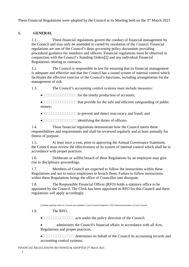These Financial Regulations were adopted by the Council at its Meeting held on the 3<sup>rd</sup> March 2021

# <span id="page-2-0"></span>**1. GENERAL**

1.1. These financial regulations govern the conduct of financial management by the Council and may only be amended or varied by resolution of the Council. Financial regulations are one of the Council's three governing policy documents providing procedural guidance for members and officers. Financial regulations must be observed in conjunction with the Council's Standing Orders[1] and any individual Financial Regulations relating to contracts.

1.2. The Council is responsible in law for ensuring that its financial management is adequate and effective and that the Council has a sound system of internal control which facilitates the effective exercise of the Council's functions, including arrangements for the management of risk.

1.3. The Council's accounting control systems must include measures:

• for the timely production of accounts;

• that provide for the safe and efficient safeguarding of public money;

- **THE FRAUDED IS CONTROLLED TO prevent and detect inaccuracy and fraud; and**
- **INDERGO BEE** identifying the duties of officers.

1.4. These financial regulations demonstrate how the Council meets these responsibilities and requirements and shall be reviewed regularly and at least annually for fitness of purpose.

1.5. At least once a year, prior to approving the Annual Governance Statement, the Council must review the effectiveness of its system of internal control which shall be in accordance with proper practices.

1.6. Deliberate or willful breach of these Regulations by an employee may give rise to disciplinary proceedings.

1.7. Members of Council are expected to follow the instructions within these Regulations and not to entice employees to breach them. Failure to follow instructions within these Regulations brings the office of Councillor into disrepute.

1.8. The Responsible Financial Officer (RFO) holds a statutory office to be appointed by the Council. The Clerk has been appointed as RFO for this Council and these regulations will apply accordingly.

*[1] Model standing orders for Councils are available in Local Councils Explained © 2013 National Association of Local Councils*

# 1.9. The RFO;

 $\bullet$  **INDICIONALLET acts under the policy direction of the Council;** 

• administers the Council's financial affairs in accordance with all Acts, Regulations and proper practices;

• **determines on behalf of the Council its accounting records and** accounting control systems;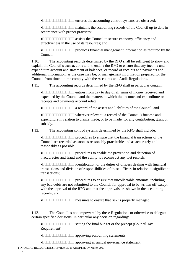• ensures the accounting control systems are observed;

• maintains the accounting records of the Council up to date in accordance with proper practices;

• assists the Council to secure economy, efficiency and effectiveness in the use of its resources; and

• **produces financial management information as required by the** Council.

1.10. The accounting records determined by the RFO shall be sufficient to show and explain the Council's transactions and to enable the RFO to ensure that any income and expenditure account and statement of balances, or record of receipts and payments and additional information, as the case may be, or management information prepared for the Council from time to time comply with the Accounts and Audit Regulations.

1.11. The accounting records determined by the RFO shall in particular contain:

 $\bullet$   $\Box$  $\Box$  $\Box$  $\Box$  $\Box$  $\Box$  $\Box$  $\Box$  $\Box$  entries from day to day of all sums of money received and expended by the Council and the matters to which the income and expenditure or receipts and payments account relate;

• a record of the assets and liabilities of the Council; and

• wherever relevant, a record of the Council's income and expenditure in relation to claims made, or to be made, for any contribution, grant or subsidy.

1.12. The accounting control systems determined by the RFO shall include:

• **procedures** to ensure that the financial transactions of the Council are recorded as soon as reasonably practicable and as accurately and reasonably as possible;

• **PROCEDURE EXAMPLE 1** procedures to enable the prevention and detection of inaccuracies and fraud and the ability to reconstruct any lost records;

 $\bullet$  identification of the duties of officers dealing with financial transactions and division of responsibilities of those officers in relation to significant transactions;

• **PROPERTIAL PROCEDUTE:** procedures to ensure that uncollectable amounts, including any bad debts are not submitted to the Council for approval to be written off except with the approval of the RFO and that the approvals are shown in the accounting records; and

 $\bullet$  **INDIBUTIBER 10** measures to ensure that risk is properly managed.

1.13. The Council is not empowered by these Regulations or otherwise to delegate certain specified decisions. In particular any decision regarding:

 $\bullet$   $\Box$  $\Box$  $\Box$  $\Box$  $\Box$  $\Box$  $\Box$  $\Box$  setting the final budget or the precept (Council Tax Requirement);

• approving accounting statements;

• approving an annual governance statement;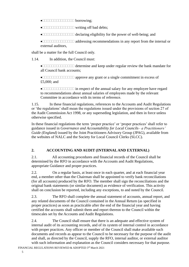- $\bullet$  **borrowing;**
- writing off bad debts;
- $\bullet$  declaring eligibility for the power of well-being; and

• **and a** ddressing recommendations in any report from the internal or external auditors,

shall be a matter for the full Council only.

1.14. In addition, the Council must:

 $\bullet$  determine and keep under regular review the bank mandate for all Council bank accounts;

• approve any grant or a single commitment in excess of £5,000; and

• in respect of the annual salary for any employee have regard to recommendations about annual salaries of employees made by the relevant Committee in accordance with its terms of reference.

1.15. In these financial regulations, references to the Accounts and Audit Regulations or 'the regulations' shall mean the regulations issued under the provisions of section 27 of the Audit Commission Act 1998, or any superseding legislation, and then in force unless otherwise specified.

In these financial regulations the term 'proper practice' or 'proper practices' shall refer to guidance issued in *Governance and Accountability for Local Councils– a Practitioners' Guide (England)* issued by the Joint Practitioners Advisory Group (JPAG), available from the websites of NALC and the Society for Local Council Clerks (SLCC).

# <span id="page-4-0"></span>**2. ACCOUNTING AND AUDIT (INTERNAL AND EXTERNAL)**

2.1. All accounting procedures and financial records of the Council shall be determined by the RFO in accordance with the Accounts and Audit Regulations, appropriate Guidance and proper practices.

2.2. On a regular basis, at least once in each quarter, and at each financial year end, a member other than the Chairman shall be appointed to verify bank reconciliations (for all accounts) produced by the RFO. The member shall sign the reconciliations and the original bank statements (or similar document) as evidence of verification. This activity shall on conclusion be reported, including any exceptions, to and noted by the Council.

2.3. The RFO shall complete the annual statement of accounts, annual report, and any related documents of the Council contained in the Annual Return (as specified in proper practices) as soon as practicable after the end of the financial year and having certified the accounts shall submit them and report thereon to the Council within the timescales set by the Accounts and Audit Regulations.

2.4. The Council shall ensure that there is an adequate and effective system of internal audit of its accounting records, and of its system of internal control in accordance with proper practices. Any officer or member of the Council shall make available such documents and records as appear to the Council to be necessary for the purpose of the audit and shall, as directed by the Council, supply the RFO, internal auditor, or external auditor with such information and explanation as the Council considers necessary for that purpose.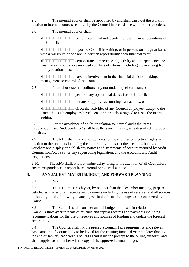2.5. The internal auditor shall be appointed by and shall carry out the work in relation to internal controls required by the Council in accordance with proper practices.

2.6. The internal auditor shall:

 $\bullet$  **be competent and independent of the financial operations of** the Council;

• report to Council in writing, or in person, on a regular basis with a minimum of one annual written report during each financial year:

• **demonstrate competence**, objectivity and independence, be free from any actual or perceived conflicts of interest, including those arising from family relationships; and

• **have no involvement in the financial decision making,** management or control of the Council.

2.7. Internal or external auditors may not under any circumstances:

 $\bullet$  **perform any operational duties for the Council;** 

• **indicate or approve accounting transactions; or** 

 $\bullet$  direct the activities of any Council employee, except to the extent that such employees have been appropriately assigned to assist the internal auditor.

2.8. For the avoidance of doubt, in relation to internal audit the terms 'independent' and 'independence' shall have the same meaning as is described in proper practices.

2.9. The RFO shall make arrangements for the exercise of electors' rights in relation to the accounts including the opportunity to inspect the accounts, books, and vouchers and display or publish any notices and statements of account required by Audit Commission Act 1998, or any superseding legislation, and the Accounts and Audit Regulations.

2.10. The RFO shall, without undue delay, bring to the attention of all Councillors any correspondence or report from internal or external auditors.

# <span id="page-5-0"></span>**3. ANNUAL ESTIMATES (BUDGET) AND FORWARD PLANNING**

 $3.1$  N/A

3.2. The RFO must each year, by no later than the December meeting, prepare detailed estimates of all receipts and payments including the use of reserves and all sources of funding for the following financial year in the form of a budget to be considered by the Council.

3.3. The Council shall consider annual budget proposals in relation to the Council's three-year forecast of revenue and capital receipts and payments including recommendations for the use of reserves and sources of funding and update the forecast accordingly.

3.4. The Council shall fix the precept (Council Tax requirement), and relevant basic amount of Council Tax to be levied for the ensuing financial year not later than by the end of January each year. The RFO shall issue the precept to the billing authority and shall supply each member with a copy of the approved annual budget.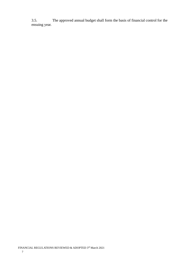3.5. The approved annual budget shall form the basis of financial control for the ensuing year.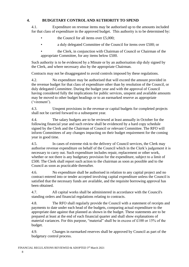### <span id="page-7-0"></span>**4. BUDGETARY CONTROL AND AUTHORITY TO SPEND**

4.1. Expenditure on revenue items may be authorised up to the amounts included for that class of expenditure in the approved budget. This authority is to be determined by:

- the Council for all items over £5,000;
- a duly delegated Committee of the Council for items over £500; or
- the Clerk, in conjunction with Chairman of Council or Chairman of the appropriate Committee, for any items below £500.

Such authority is to be evidenced by a Minute or by an authorisation slip duly signed by the Clerk, and where necessary also by the appropriate Chairman.

Contracts may not be disaggregated to avoid controls imposed by these regulations.

4.2. No expenditure may be authorised that will exceed the amount provided in the revenue budget for that class of expenditure other than by resolution of the Council, or duly delegated Committee. During the budget year and with the approval of Council having considered fully the implications for public services, unspent and available amounts may be moved to other budget headings or to an earmarked reserve as appropriate ('virement').

4.3. Unspent provisions in the revenue or capital budgets for completed projects shall not be carried forward to a subsequent year.

4.4. The salary budgets are to be reviewed at least annually in October for the following financial year and such review shall be evidenced by a hard copy schedule signed by the Clerk and the Chairman of Council or relevant Committee. The RFO will inform Committees of any changes impacting on their budget requirement for the coming year in good time.

4.5. In cases of extreme risk to the delivery of Council services, the Clerk may authorise revenue expenditure on behalf of the Council which in the Clerk's judgement it is necessary to carry out. Such expenditure includes repair, replacement or other work, whether or not there is any budgetary provision for the expenditure, subject to a limit of £500. The Clerk shall report such action to the chairman as soon as possible and to the Council as soon as practicable thereafter.

4.6. No expenditure shall be authorised in relation to any capital project and no contract entered into or tender accepted involving capital expenditure unless the Council is satisfied that the necessary funds are available, and the requisite borrowing approval has been obtained.

4.7. All capital works shall be administered in accordance with the Council's standing orders and financial regulations relating to contracts.

4.8. The RFO shall regularly provide the Council with a statement of receipts and payments to date under each head of the budgets, comparing actual expenditure to the appropriate date against that planned as shown in the budget. These statements are to be prepared at least at the end of each financial quarter and shall show explanations of material variances. For this purpose, "material" shall be in excess of £100 or 15% of the budget.

4.9. Changes in earmarked reserves shall be approved by Council as part of the budgetary control process.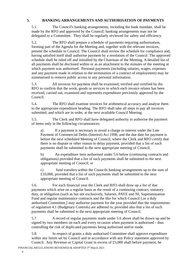#### <span id="page-8-0"></span>**5. BANKING ARRANGEMENTS AND AUTHORISATION OF PAYMENTS**

5.1. The Council's banking arrangements, including the bank mandate, shall be made by the RFO and approved by the Council; banking arrangements may not be delegated to a Committee. They shall be regularly reviewed for safety and efficiency.

5.2. The RFO shall prepare a schedule of payments requiring authorisation, forming part of the Agenda for the Meeting and, together with the relevant invoices, present the schedule to Council. The Council shall review the schedule for compliance and, having satisfied itself shall authorise payment by a resolution of the Council. The approved schedule shall be ruled off and initialled by the Chairman of the Meeting. A detailed list of all payments shall be disclosed within or as an attachment to the minutes of the meeting at which payment was authorised. Personal payments (including salaries, wages, expenses and any payment made in relation to the termination of a contract of employment) may be summarised to remove public access to any personal information.

5.3. All invoices for payment shall be examined, verified and certified by the RFO to confirm that the work, goods or services to which each invoice relates has been received, carried out, examined and represents expenditure previously approved by the Council.

5.4. The RFO shall examine invoices for arithmetical accuracy and analyse them to the appropriate expenditure heading. The RFO shall take all steps to pay all invoices submitted, and which are in order, at the next available Council Meeting.

5.5. The Clerk and RFO shall have delegated authority to authorise the payment of items only in the following circumstances:

a) If a payment is necessary to avoid a charge to interest under the Late Payment of Commercial Debts (Interest) Act 1998, and the due date for payment is before the next scheduled Meeting of Council, where the Clerk and RFO certify that there is no dispute or other reason to delay payment, provided that a list of such payments shall be submitted to the next appropriate meeting of Council;

b) An expenditure item authorised under 5.6 below (continuing contracts and obligations) provided that a list of such payments shall be submitted to the next appropriate meeting of Council; or

c) fund transfers within the Councils banking arrangements up to the sum of £10,000, provided that a list of such payments shall be submitted to the next appropriate meeting of Council.

5.6. For each financial year the Clerk and RFO shall draw up a list of due payments which arise on a regular basis as the result of a continuing contract, statutory duty, or obligation (such as but not exclusively, Salaries, PAYE and NI, Superannuation Fund and regular maintenance contracts and the like for which Council [,or a duly authorised Committee,] may authorise payment for the year provided that the requirements of regulation 4.1 (Budgetary Controls) are adhered to, provided also that a list of such payments shall be submitted to the next appropriate meeting of Council.

5.7. A record of regular payments made under 5.6 above shall be drawn up and be signed by two members on each and every occasion when payment is authorised - thus controlling the risk of duplicated payments being authorised and/or made.

5.8. In respect of grants a duly authorised Committee shall approve expenditure within any limits set by Council and in accordance with any Policy statement approved by Council. Any Revenue or Capital Grant in excess of £5,000 shall before payment, be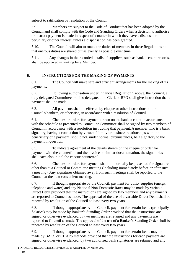subject to ratification by resolution of the Council.

5.9. Members are subject to the Code of Conduct that has been adopted by the Council and shall comply with the Code and Standing Orders when a decision to authorise or instruct payment is made in respect of a matter in which they have a disclosable pecuniary or other interest, unless a dispensation has been granted.

5.10. The Council will aim to rotate the duties of members in these Regulations so that onerous duties are shared out as evenly as possible over time.

5.11. Any changes in the recorded details of suppliers, such as bank account records, shall be approved in writing by a Member.

# <span id="page-9-0"></span>**6. INSTRUCTIONS FOR THE MAKING OF PAYMENTS**

6.1. The Council will make safe and efficient arrangements for the making of its payments.

6.2. Following authorisation under Financial Regulation 5 above, the Council, a duly delegated Committee or, if so delegated, the Clerk or RFO shall give instruction that a payment shall be made.

6.3. All payments shall be effected by cheque or other instructions to the Council's bankers, or otherwise, in accordance with a resolution of Council.

6.4. Cheques or orders for payment drawn on the bank account in accordance with the schedule as presented to Council or Committee shall be signed by two members of Council in accordance with a resolution instructing that payment. A member who is a bank signatory, having a connection by virtue of family or business relationships with the beneficiary of a payment, should not, under normal circumstances, be a signatory to the payment in question.

6.5. To indicate agreement of the details shown on the cheque or order for payment with the counterfoil and the invoice or similar documentation, the signatories shall each also initial the cheque counterfoil.

6.6. Cheques or orders for payment shall not normally be presented for signature other than at a Council or Committee meeting (including immediately before or after such a meeting). Any signatures obtained away from such meetings shall be reported to the Council at the next convenient meeting.

6.7. If thought appropriate by the Council, payment for utility supplies (energy, telephone and water) and any National Non-Domestic Rates may be made by variable Direct Debit provided that the instructions are signed by two members and any payments are reported to Council as made. The approval of the use of a variable Direct Debit shall be renewed by resolution of the Council at least every two years.

6.8. If thought appropriate by the Council, payment for certain items (principally Salaries) may be made by Banker's Standing Order provided that the instructions are signed, or otherwise evidenced by two members are retained and any payments are reported to Council as made. The approval of the use of a Banker's Standing Order shall be renewed by resolution of the Council at least every two years.

6.9. If thought appropriate by the Council, payment for certain items may be made by BACS or CHAPS methods provided that the instructions for each payment are signed, or otherwise evidenced, by two authorised bank signatories are retained and any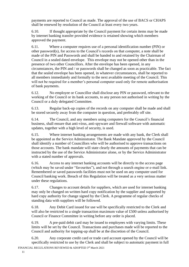payments are reported to Council as made. The approval of the use of BACS or CHAPS shall be renewed by resolution of the Council at least every two years.

6.10. If thought appropriate by the Council payment for certain items may be made by internet banking transfer provided evidence is retained showing which members approved the payment.

6.11. Where a computer requires use of a personal identification number (PIN) or other password(s), for access to the Council's records on that computer, a note shall be made of the PIN and Passwords and shall be handed to and retained by the Chairman of Council in a sealed dated envelope. This envelope may not be opened other than in the presence of two other Councillors. After the envelope has been opened, in any circumstances, the PIN and / or passwords shall be changed as soon as practicable. The fact that the sealed envelope has been opened, in whatever circumstances, shall be reported to all members immediately and formally to the next available meeting of the Council. This will not be required for a member's personal computer used only for remote authorisation of bank payments.

6.12. No employee or Councillor shall disclose any PIN or password, relevant to the working of the Council or its bank accounts, to any person not authorised in writing by the Council or a duly delegated Committee.

6.13. Regular back-up copies of the records on any computer shall be made and shall be stored securely away from the computer in question, and preferably off site.

6.14. The Council, and any members using computers for the Council's financial business, shall ensure that anti-virus, anti-spyware and firewall software with automatic updates, together with a high level of security, is used.

6.15. Where internet banking arrangements are made with any bank, the Clerk shall be appointed as the Service Administrator. The Bank Mandate approved by the Council shall identify a number of Councillors who will be authorised to approve transactions on those accounts. The bank mandate will state clearly the amounts of payments that can be instructed by the use of the Service Administrator alone, or by the Service Administrator with a stated number of approvals.

6.16. Access to any internet banking accounts will be directly to the access page (which may be saved under "favourites"), and not through a search engine or e-mail link. Remembered or saved passwords facilities must not be used on any computer used for Council banking work. Breach of this Regulation will be treated as a very serious matter under these regulations.

6.17. Changes to account details for suppliers, which are used for internet banking may only be changed on written hard copy notification by the supplier and supported by hard copy authority for change signed by the Clerk. A programme of regular checks of standing data with suppliers will be followed.

6.18. Any Debit Card issued for use will be specifically restricted to the Clerk and will also be restricted to a single transaction maximum value of £500 unless authorised by Council or Finance Committee in writing before any order is placed.

6.19. A pre-paid debit card may be issued to employees with varying limits. These limits will be set by the Council. Transactions and purchases made will be reported to the Council and authority for topping-up shall be at the discretion of the Council.

6.20. Any corporate credit card or trade card account opened by the Council will be specifically restricted to use by the Clerk and shall be subject to automatic payment in full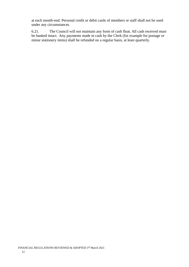at each month-end. Personal credit or debit cards of members or staff shall not be used under any circumstances.

6.21. The Council will not maintain any form of cash float. All cash received must be banked intact. Any payments made in cash by the Clerk (for example for postage or minor stationery items) shall be refunded on a regular basis, at least quarterly.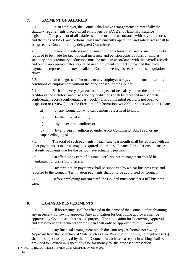### <span id="page-12-0"></span>**7. PAYMENT OF SALARIES**

7.1. As an employer, the Council shall make arrangements to meet fully the statutory requirements placed on all employers by PAYE and National Insurance legislation. The payment of all salaries shall be made in accordance with payroll records and the rules of PAYE and National Insurance currently operating, and salary rates shall be as agreed by Council, or duly delegated Committee.

7.2. Payment of salaries and payment of deductions from salary such as may be required to be made for tax, national insurance and pension contributions, or similar statutory or discretionary deductions must be made in accordance with the payroll records and on the appropriate dates stipulated in employment contracts, provided that each payment is reported to the next available Council meeting, as set out in these regulations above.

7.3. No changes shall be made to any employee's pay, emoluments, or terms and conditions of employment without the prior consent of the Council.

7.4. Each and every payment to employees of net salary and to the appropriate creditor of the statutory and discretionary deductions shall be recorded in a separate confidential record (confidential cash book). This confidential record is not open to inspection or review (under the Freedom of Information Act 2000 or otherwise) other than:

- a) by any Councillor who can demonstrate a need to know;
- b) by the internal auditor;
- c) by the external auditor; or

d) by any person authorised under Audit Commission Act 1998, or any superseding legislation.

7.5. The total of such payments in each calendar month shall be reported with all other payments as made as may be required under these Financial Regulations, to ensure that only payments due for the period have actually been paid.

7.6. An effective system of personal performance management should be maintained for the senior officers.

7.7. Any termination payments shall be supported by a clear business case and reported to the Council. Termination payments shall only be authorised by Council.

7.8. Before employing interim staff, the Council must consider a full business case.

# <span id="page-12-1"></span>**8. LOANS AND INVESTMENTS**

8.1. All borrowings shall be effected in the name of the Council, after obtaining any necessary borrowing approval. Any application for borrowing approval shall be approved by Council as to terms and purpose. The application for Borrowing Approval, and subsequent arrangements for the Loan shall only be approved by full Council.

8.2. Any financial arrangement which does not require formal Borrowing Approval from the Secretary of State (such as Hire Purchase or Leasing of tangible assets) shall be subject to approval by the full Council. In each case a report in writing shall be provided to Council in respect of value for money for the proposed transaction.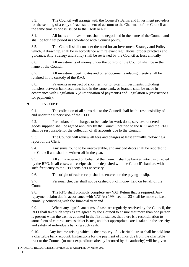8.3. The Council will arrange with the Council's Banks and Investment providers for the sending of a copy of each statement of account to the Chairman of the Council at the same time as one is issued to the Clerk or RFO.

8.4. All loans and investments shall be negotiated in the name of the Council and shall be for a set period in accordance with Council policy.

8.5. The Council shall consider the need for an Investment Strategy and Policy which, if drawn up, shall be in accordance with relevant regulations, proper practices and guidance. Any Strategy and Policy shall be reviewed by the Council at least annually.

8.6. All investments of money under the control of the Council shall be in the name of the Council.

8.7. All investment certificates and other documents relating thereto shall be retained in the custody of the RFO.

8.8. Payments in respect of short term or long-term investments, including transfers between bank accounts held in the same bank, or branch, shall be made in accordance with Regulation 5 (Authorisation of payments) and Regulation 6 (Instructions for payments).

#### <span id="page-13-0"></span>**9. INCOME**

9.1. The collection of all sums due to the Council shall be the responsibility of and under the supervision of the RFO.

9.2. Particulars of all charges to be made for work done, services rendered or goods supplied shall be agreed annually by the Council, notified to the RFO and the RFO shall be responsible for the collection of all accounts due to the Council.

9.3. The Council will review all fees and charges at least annually, following a report of the Clerk.

9.4. Any sums found to be irrecoverable, and any bad debts shall be reported to the Council and shall be written off in the year.

9.5. All sums received on behalf of the Council shall be banked intact as directed by the RFO. In all cases, all receipts shall be deposited with the Council's bankers with such frequency as the RFO considers necessary.

9.6. The origin of each receipt shall be entered on the paying-in slip.

9.7. Personal cheques shall not be cashed out of money held on behalf of the Council.

9.8. The RFO shall promptly complete any VAT Return that is required. Any repayment claim due in accordance with VAT Act 1994 section 33 shall be made at least annually coinciding with the financial year end.

9.9. Where any significant sums of cash are regularly received by the Council, the RFO shall take such steps as are agreed by the Council to ensure that more than one person is present when the cash is counted in the first instance, that there is a reconciliation to some form of control such as ticket issues, and that appropriate care is taken in the security and safety of individuals banking such cash.

9.10. Any income arising which is the property of a charitable trust shall be paid into a charitable bank account. Instructions for the payment of funds due from the charitable trust to the Council (to meet expenditure already incurred by the authority) will be given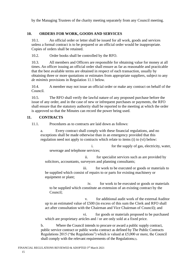by the Managing Trustees of the charity meeting separately from any Council meeting.

### <span id="page-14-0"></span>**10. ORDERS FOR WORK, GOODS AND SERVICES**

10.1. An official order or letter shall be issued for all work, goods and services unless a formal contract is to be prepared or an official order would be inappropriate. Copies of orders shall be retained.

10.2. Order books shall be controlled by the RFO.

10.3. All members and Officers are responsible for obtaining value for money at all times. An officer issuing an official order shall ensure as far as reasonable and practicable that the best available terms are obtained in respect of each transaction, usually by obtaining three or more quotations or estimates from appropriate suppliers, subject to any *de minimis* provisions in Regulation 11.1 below.

10.4. A member may not issue an official order or make any contract on behalf of the Council.

10.5. The RFO shall verify the lawful nature of any proposed purchase before the issue of any order, and in the case of new or infrequent purchases or payments, the RFO shall ensure that the statutory authority shall be reported to the meeting at which the order is approved so that the Minutes can record the power being used.

#### <span id="page-14-1"></span>**11. CONTRACTS**

11.1. Procedures as to contracts are laid down as follows:

a. Every contract shall comply with these financial regulations, and no exceptions shall be made otherwise than in an emergency provided that this regulation need not apply to contracts which relate to items (i) to (vi) below:

 i. for the supply of gas, electricity, water, sewerage and telephone services;

 ii. for specialist services such as are provided by solicitors, accountants, surveyors and planning consultants;

 iii. for work to be executed or goods or materials to be supplied which consist of repairs to or parts for existing machinery or equipment or plant;

 iv. for work to be executed or goods or materials to be supplied which constitute an extension of an existing contract by the Council;

 v. for additional audit work of the external Auditor up to an estimated value of £500 (in excess of this sum the Clerk and RFO shall act after consultation with the Chairman and Vice Chairman of Council); and

 vi. for goods or materials proposed to be purchased which are proprietary articles and / or are only sold at a fixed price.

b. Where the Council intends to procure or award a public supply contract, public service contract or public works contract as defined by The Public Contracts Regulations 2015 ("the Regulations") which is valued at £5,000 or more, the Council shall comply with the relevant requirements of the Regulations(2).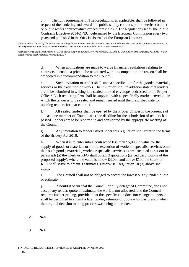c. The full requirements of The Regulations, as applicable, shall be followed in respect of the tendering and award of a public supply contract, public service contract or public works contractwhich exceed thresholds in The Regulations set by the Public Contracts Directive 2014/24/EU, determined by the European Commission every two years and published in the Official Journal of the European Union.(3).

*(2) Regulations 109-114 of The Public Contracts Regulations require Councils to use the Contracts Finder website to advertise contract opportunities, set out the procedures to be followed in awarding new contracts and to publicise the award of newThe contracts*

*(3)Thresholds currently applicable are: a. For public supply and public service contracts £181,302 b. For public works contracts £4,551,413 c. For social or other specfic services contract £820370.*

> d. When applications are made to waive financial regulations relating to contracts to enable a price to be negotiated without competition the reason shall be embodied in a recommendation to the Council.

e. Such invitation to tender shall state a specification for the goods, materials, services or the execution of works. The invitation shall in addition state that tenders are to be submitted in writing in a sealed marked envelope addressed to the Proper Officer. Each tendering firm shall be supplied with a specifically marked envelope in which the tender is to be sealed and remain sealed until the prescribed date for opening tenders for that contract.

f. All sealed tenders shall be opened by the Proper Officer in the presence of at least one member of Council after the deadline for the submission of tenders has passed. Tenders are to be reported to and considered by the appropriate meeting of the Council.

g. Any invitation to tender issued under this regulation shall refer to the terms of the Bribery Act 2010.

h. When it is to enter into a contract of less than  $£5,000$  in value for the supply of goods or materials or for the execution of works or specialist services other than such goods, materials, works or specialist services as are excepted as set out in paragraph (a) the Clerk or RFO shall obtain 3 quotations (priced descriptions of the proposed supply); where the value is below £3,000 and above £100 the Clerk or RFO shall strive to obtain 3 estimates. Otherwise, Regulation 10 (3) above shall apply.

i. The Council shall not be obliged to accept the lowest or any tender, quote or estimate.

j. Should it occur that the Council, or duly delegated Committee, does not accept any tender, quote or estimate, the work is not allocated, and the Council requires further pricing, provided that the specification does not change, no person shall be permitted to submit a later tender, estimate or quote who was present when the original decision making process was being undertaken.

- <span id="page-15-1"></span><span id="page-15-0"></span>**12. N/A**
- **13. N/A**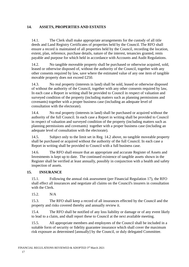# **14. ASSETS, PROPERTIES AND ESTATES**

14.1. The Clerk shall make appropriate arrangements for the custody of all title deeds and Land Registry Certificates of properties held by the Council. The RFO shall ensure a record is maintained of all properties held by the Council, recording the location, extent, plan, reference, purchase details, nature of the interest, tenancies granted, rents payable and purpose for which held in accordance with Accounts and Audit Regulations.

14.2. No tangible moveable property shall be purchased or otherwise acquired, sold, leased or otherwise disposed of, without the authority of the Council, together with any other consents required by law, save where the estimated value of any one item of tangible movable property does not exceed £250.

14.3. No real property (interests in land) shall be sold, leased or otherwise disposed of without the authority of the Council, together with any other consents required by law, In each case a Report in writing shall be provided to Council in respect of valuation and surveyed condition of the property (including matters such as planning permissions and covenants) together with a proper business case (including an adequate level of consultation with the electorate).

14.4. No real property (interests in land) shall be purchased or acquired without the authority of the full Council. In each case a Report in writing shall be provided to Council in respect of valuation and surveyed condition of the property (including matters such as planning permissions and covenants) together with a proper business case (including an adequate level of consultation with the electorate).

14.5. Subject only to the limit set in Reg. 14.2 above, no tangible moveable property shall be purchased or acquired without the authority of the full Council. In each case a Report in writing shall be provided to Council with a full business case.

14.6. The RFO shall ensure that an appropriate and accurate Register of Assets and Investments is kept up to date. The continued existence of tangible assets shown in the Register shall be verified at least annually, possibly in conjunction with a health and safety inspection of assets.

#### **15. INSURANCE**

15.1. Following the annual risk assessment (per Financial Regulation 17), the RFO shall effect all insurances and negotiate all claims on the Council's insurers in consultation with the Clerk.

15.2. N/A

15.3. The RFO shall keep a record of all insurances effected by the Council and the property and risks covered thereby and annually review it.

15.4. The RFO shall be notified of any loss liability or damage or of any event likely to lead to a claim, and shall report these to Council at the next available meeting.

15.5. All appropriate members and employees of the Council shall be included in a suitable form of security or fidelity guarantee insurance which shall cover the maximum risk exposure as determined [annually] by the Council, or duly delegated Committee.